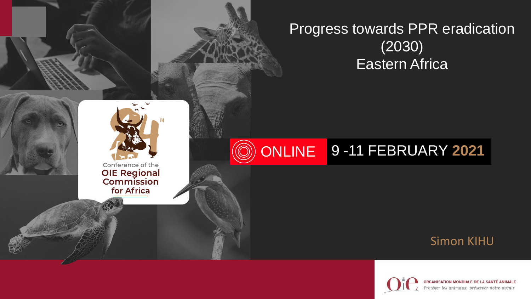



Conference of the **OIE Regional**<br>Commission for Africa

#### **ONLINE** 9 -11 FEBRUARY **2021**

#### Simon KIHU



ORGANISATION MONDIALE DE LA SANTÉ ANIMALE Protéger les animaux, préserver notre avenir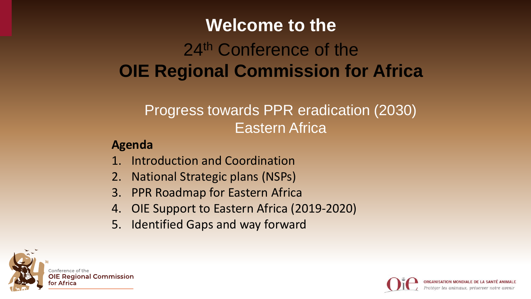# 24<sup>th</sup> Conference of the **OIE Regional Commission for Africa Welcome to the**

# Progress towards PPR eradication (2030) Eastern Africa

#### **Agenda**

- 1. Introduction and Coordination
- 2. National Strategic plans (NSPs)
- 3. PPR Roadmap for Eastern Africa
- 4. OIE Support to Eastern Africa (2019-2020)
- 5. Identified Gaps and way forward



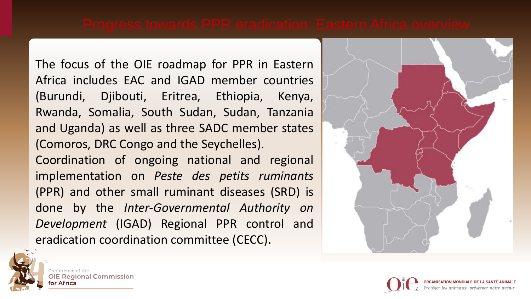The focus of the OIE roadmap for PPR in Eastern Africa includes EAC and IGAD member countries (Burundi, Djibouti, Eritrea, Ethiopia, Kenya, Rwanda, Somalia, South Sudan, Sudan, Tanzania and Uganda) as well as three SADC member states (Comoros, DRC Congo and the Seychelles). Coordination of ongoing national and regional implementation on *Peste des petits ruminants* (PPR) and other small ruminant diseases (SRD) is done by the *Inter-Governmental Authority on Development* (IGAD) Regional PPR control and eradication coordination committee (CECC).





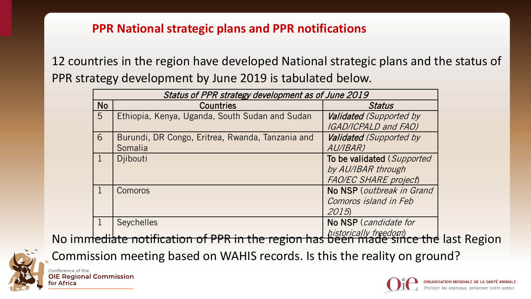#### **PPR National strategic plans and PPR notifications**

12 countries in the region have developed National strategic plans and the status of PPR strategy development by June 2019 is tabulated below.

| Status of PPR strategy development as of June 2019 |                                                  |                                                 |  |  |  |  |  |  |  |  |
|----------------------------------------------------|--------------------------------------------------|-------------------------------------------------|--|--|--|--|--|--|--|--|
| <b>No</b>                                          | <b>Countries</b>                                 | <b>Status</b>                                   |  |  |  |  |  |  |  |  |
| $5\overline{)}$                                    | Ethiopia, Kenya, Uganda, South Sudan and Sudan   | Validated (Supported by                         |  |  |  |  |  |  |  |  |
|                                                    |                                                  | <b>IGAD/ICPALD and FAO)</b>                     |  |  |  |  |  |  |  |  |
| 6                                                  | Burundi, DR Congo, Eritrea, Rwanda, Tanzania and | Validated (Supported by                         |  |  |  |  |  |  |  |  |
|                                                    | Somalia                                          | AU/IBAR)                                        |  |  |  |  |  |  |  |  |
|                                                    | Djibouti                                         | To be validated (Supported                      |  |  |  |  |  |  |  |  |
|                                                    |                                                  | by AU/IBAR through                              |  |  |  |  |  |  |  |  |
|                                                    |                                                  | <b>FAO/EC SHARE project)</b>                    |  |  |  |  |  |  |  |  |
|                                                    | Comoros                                          | No NSP (outbreak in Grand                       |  |  |  |  |  |  |  |  |
|                                                    |                                                  | Comoros island in Feb                           |  |  |  |  |  |  |  |  |
|                                                    |                                                  | 2015                                            |  |  |  |  |  |  |  |  |
|                                                    | <b>Seychelles</b>                                | No NSP (candidate for                           |  |  |  |  |  |  |  |  |
|                                                    |                                                  | $L^2 + L^2 = L^2 = L^2 + L^2 = L^2 = L^2 = L^2$ |  |  |  |  |  |  |  |  |

No immediate notification of PPR in the region has been made since the last Region

Commission meeting based on WAHIS records. Is this the reality on ground?



Conference of the **OIE Regional Commission** for Africa

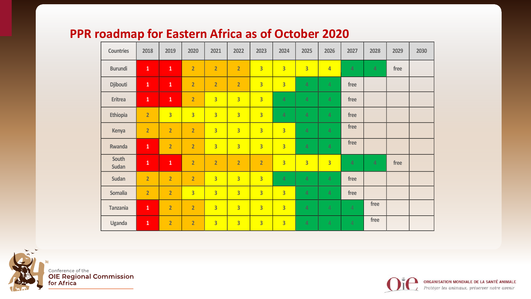### **PPR roadmap for Eastern Africa as of October 2020**

| Countries       | 2018           | 2019           | 2020           | 2021                    | 2022           | 2023           | 2024                    | 2025           | 2026           | 2027           | 2028           | 2029 | 2030 |
|-----------------|----------------|----------------|----------------|-------------------------|----------------|----------------|-------------------------|----------------|----------------|----------------|----------------|------|------|
| <b>Burundi</b>  | $\mathbf 1$    | $\mathbf{1}$   | $\overline{2}$ | $\overline{2}$          | $\overline{2}$ | $\overline{3}$ | $\overline{3}$          | $\overline{3}$ | $\overline{4}$ | 4              | $\overline{4}$ | free |      |
| Djibouti        | $\mathbf 1$    | $\mathbf 1$    | $\overline{2}$ | $\overline{2}$          | $\overline{2}$ | $\overline{3}$ | $\overline{3}$          | 4              | $\overline{4}$ | free           |                |      |      |
| Eritrea         | $\mathbf 1$    | $\mathbf{1}$   | $\overline{2}$ | $\overline{3}$          | $\overline{3}$ | $\overline{3}$ | 4                       | 4              | $\overline{4}$ | free           |                |      |      |
| Ethiopia        | $\overline{2}$ | $\overline{3}$ | $\overline{3}$ | $\overline{3}$          | $\overline{3}$ | $\overline{3}$ | 4                       | $\overline{4}$ | $\overline{4}$ | free           |                |      |      |
| Kenya           | $\overline{2}$ | $\overline{2}$ | $\overline{2}$ | $\overline{3}$          | $\overline{3}$ | $\overline{3}$ | $\overline{3}$          | $\overline{4}$ | $\overline{4}$ | free           |                |      |      |
| Rwanda          | $\mathbf{1}$   | $\overline{2}$ | $\overline{2}$ | $\overline{3}$          | $\overline{3}$ | $\overline{3}$ | $\overline{3}$          | $\overline{4}$ | 4              | free           |                |      |      |
| South<br>Sudan  | $\mathbf{1}$   | $\mathbf{1}$   | $\overline{2}$ | $\overline{2}$          | $\overline{2}$ | $\overline{2}$ | $\overline{\mathbf{3}}$ | $\overline{3}$ | $\overline{3}$ | 4              | $\overline{4}$ | free |      |
| Sudan           | $\overline{2}$ | $\overline{2}$ | $\overline{2}$ | $\overline{3}$          | $\overline{3}$ | $\overline{3}$ | $\overline{4}$          | $\overline{4}$ | $\overline{4}$ | free           |                |      |      |
| Somalia         | $\overline{2}$ | $\overline{2}$ | $\overline{3}$ | $\overline{3}$          | $\overline{3}$ | $\overline{3}$ | $\overline{3}$          | $\overline{4}$ | $\overline{4}$ | free           |                |      |      |
| <b>Tanzania</b> | $\mathbf 1$    | $\overline{2}$ | $\overline{2}$ | $\overline{\mathbf{3}}$ | $\overline{3}$ | $\overline{3}$ | $\overline{\mathbf{3}}$ | $\overline{4}$ | $\overline{4}$ | $\overline{4}$ | free           |      |      |
| Uganda          | $\mathbf{1}$   | $\overline{2}$ | $\overline{2}$ | $\overline{3}$          | $\overline{3}$ | $\overline{3}$ | $\overline{3}$          | 4              | $\overline{4}$ | $\overline{4}$ | free           |      |      |



<sub>Conference of the</sub><br>**OIE Regional Commission**<br>for Africa

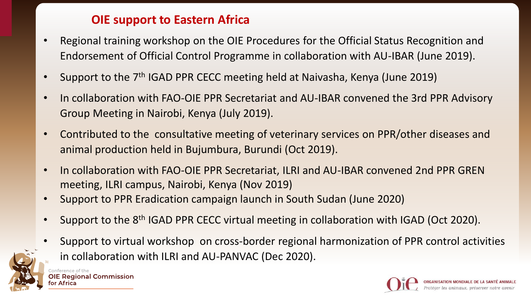### **OIE support to Eastern Africa**

- Regional training workshop on the OIE Procedures for the Official Status Recognition and Endorsement of Official Control Programme in collaboration with AU-IBAR (June 2019).
- Support to the 7<sup>th</sup> IGAD PPR CECC meeting held at Naivasha, Kenya (June 2019)
- In collaboration with FAO-OIE PPR Secretariat and AU-IBAR convened the 3rd PPR Advisory Group Meeting in Nairobi, Kenya (July 2019).
- Contributed to the consultative meeting of veterinary services on PPR/other diseases and animal production held in Bujumbura, Burundi (Oct 2019).
- In collaboration with FAO-OIE PPR Secretariat, ILRI and AU-IBAR convened 2nd PPR GREN meeting, ILRI campus, Nairobi, Kenya (Nov 2019)
- Support to PPR Eradication campaign launch in South Sudan (June 2020)
- Support to the 8th IGAD PPR CECC virtual meeting in collaboration with IGAD (Oct 2020).
- Support to virtual workshop on cross-border regional harmonization of PPR control activities in collaboration with ILRI and AU-PANVAC (Dec 2020).